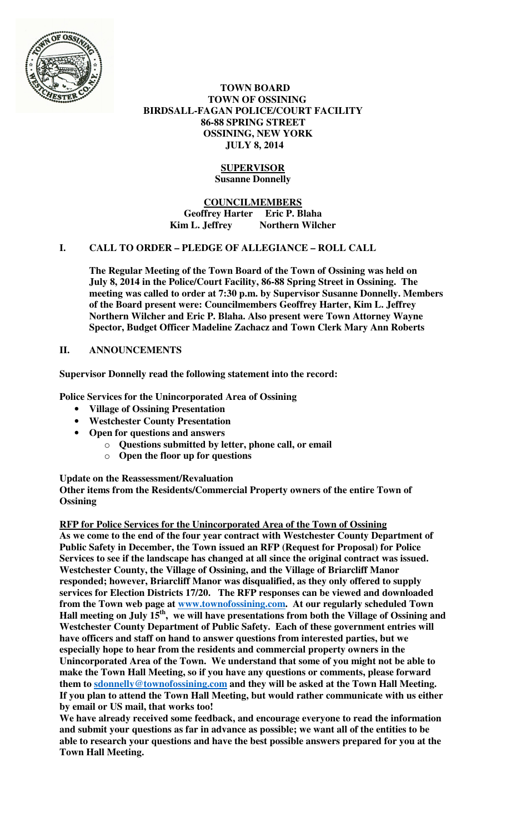

 **TOWN BOARD TOWN OF OSSINING BIRDSALL-FAGAN POLICE/COURT FACILITY 86-88 SPRING STREET OSSINING, NEW YORK JULY 8, 2014** 

# **SUPERVISOR Susanne Donnelly**

**COUNCILMEMBERS Geoffrey Harter Eric P. Blaha**  Kim L. Jeffrey Northern Wilcher

## **I. CALL TO ORDER – PLEDGE OF ALLEGIANCE – ROLL CALL**

**The Regular Meeting of the Town Board of the Town of Ossining was held on July 8, 2014 in the Police/Court Facility, 86-88 Spring Street in Ossining. The meeting was called to order at 7:30 p.m. by Supervisor Susanne Donnelly. Members of the Board present were: Councilmembers Geoffrey Harter, Kim L. Jeffrey Northern Wilcher and Eric P. Blaha. Also present were Town Attorney Wayne Spector, Budget Officer Madeline Zachacz and Town Clerk Mary Ann Roberts** 

## **II. ANNOUNCEMENTS**

**Supervisor Donnelly read the following statement into the record:** 

**Police Services for the Unincorporated Area of Ossining** 

- **Village of Ossining Presentation**
- **Westchester County Presentation**
- **Open for questions and answers** 
	- o **Questions submitted by letter, phone call, or email**
	- o **Open the floor up for questions**

**Update on the Reassessment/Revaluation Other items from the Residents/Commercial Property owners of the entire Town of Ossining** 

## **RFP for Police Services for the Unincorporated Area of the Town of Ossining**

**As we come to the end of the four year contract with Westchester County Department of Public Safety in December, the Town issued an RFP (Request for Proposal) for Police Services to see if the landscape has changed at all since the original contract was issued. Westchester County, the Village of Ossining, and the Village of Briarcliff Manor responded; however, Briarcliff Manor was disqualified, as they only offered to supply services for Election Districts 17/20. The RFP responses can be viewed and downloaded from the Town web page at www.townofossining.com. At our regularly scheduled Town Hall meeting on July 15th, we will have presentations from both the Village of Ossining and Westchester County Department of Public Safety. Each of these government entries will have officers and staff on hand to answer questions from interested parties, but we especially hope to hear from the residents and commercial property owners in the Unincorporated Area of the Town. We understand that some of you might not be able to make the Town Hall Meeting, so if you have any questions or comments, please forward**  them to **sdonnelly@townofossining.com** and they will be asked at the Town Hall Meeting. **If you plan to attend the Town Hall Meeting, but would rather communicate with us either by email or US mail, that works too!** 

**We have already received some feedback, and encourage everyone to read the information and submit your questions as far in advance as possible; we want all of the entities to be able to research your questions and have the best possible answers prepared for you at the Town Hall Meeting.**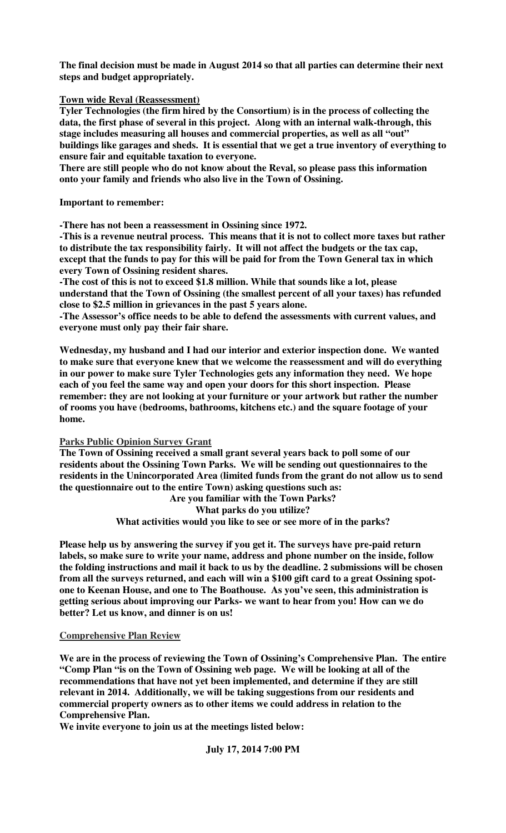**The final decision must be made in August 2014 so that all parties can determine their next steps and budget appropriately.** 

#### **Town wide Reval (Reassessment)**

**Tyler Technologies (the firm hired by the Consortium) is in the process of collecting the data, the first phase of several in this project. Along with an internal walk-through, this stage includes measuring all houses and commercial properties, as well as all "out" buildings like garages and sheds. It is essential that we get a true inventory of everything to ensure fair and equitable taxation to everyone.** 

**There are still people who do not know about the Reval, so please pass this information onto your family and friends who also live in the Town of Ossining.** 

**Important to remember:** 

**-There has not been a reassessment in Ossining since 1972.** 

**-This is a revenue neutral process. This means that it is not to collect more taxes but rather to distribute the tax responsibility fairly. It will not affect the budgets or the tax cap, except that the funds to pay for this will be paid for from the Town General tax in which every Town of Ossining resident shares.** 

**-The cost of this is not to exceed \$1.8 million. While that sounds like a lot, please understand that the Town of Ossining (the smallest percent of all your taxes) has refunded close to \$2.5 million in grievances in the past 5 years alone.** 

**-The Assessor's office needs to be able to defend the assessments with current values, and everyone must only pay their fair share.** 

**Wednesday, my husband and I had our interior and exterior inspection done. We wanted to make sure that everyone knew that we welcome the reassessment and will do everything in our power to make sure Tyler Technologies gets any information they need. We hope each of you feel the same way and open your doors for this short inspection. Please remember: they are not looking at your furniture or your artwork but rather the number of rooms you have (bedrooms, bathrooms, kitchens etc.) and the square footage of your home.** 

**Parks Public Opinion Survey Grant**

**The Town of Ossining received a small grant several years back to poll some of our residents about the Ossining Town Parks. We will be sending out questionnaires to the residents in the Unincorporated Area (limited funds from the grant do not allow us to send the questionnaire out to the entire Town) asking questions such as:** 

**Are you familiar with the Town Parks? What parks do you utilize? What activities would you like to see or see more of in the parks?** 

**Please help us by answering the survey if you get it. The surveys have pre-paid return labels, so make sure to write your name, address and phone number on the inside, follow the folding instructions and mail it back to us by the deadline. 2 submissions will be chosen from all the surveys returned, and each will win a \$100 gift card to a great Ossining spotone to Keenan House, and one to The Boathouse. As you've seen, this administration is getting serious about improving our Parks- we want to hear from you! How can we do better? Let us know, and dinner is on us!** 

#### **Comprehensive Plan Review**

**We are in the process of reviewing the Town of Ossining's Comprehensive Plan. The entire "Comp Plan "is on the Town of Ossining web page. We will be looking at all of the recommendations that have not yet been implemented, and determine if they are still relevant in 2014. Additionally, we will be taking suggestions from our residents and commercial property owners as to other items we could address in relation to the Comprehensive Plan.** 

**We invite everyone to join us at the meetings listed below:** 

**July 17, 2014 7:00 PM**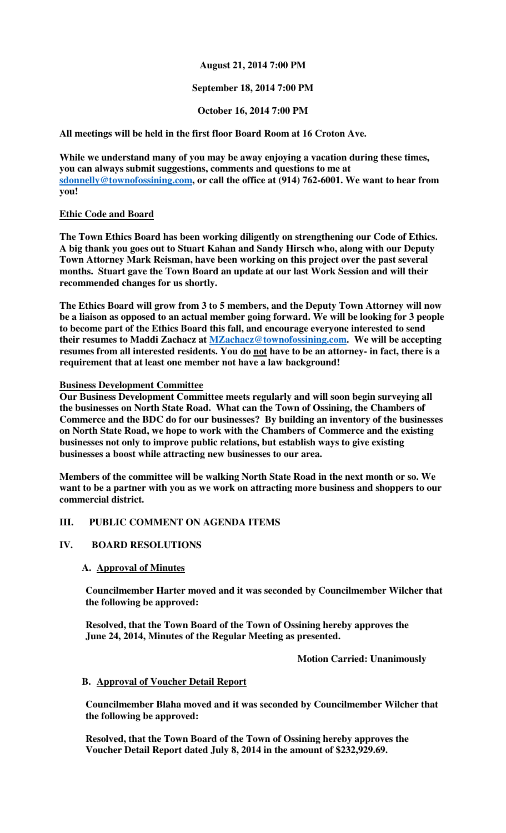## **August 21, 2014 7:00 PM**

## **September 18, 2014 7:00 PM**

## **October 16, 2014 7:00 PM**

**All meetings will be held in the first floor Board Room at 16 Croton Ave.** 

**While we understand many of you may be away enjoying a vacation during these times, you can always submit suggestions, comments and questions to me at sdonnelly@townofossining.com, or call the office at (914) 762-6001. We want to hear from you!** 

## **Ethic Code and Board**

**The Town Ethics Board has been working diligently on strengthening our Code of Ethics. A big thank you goes out to Stuart Kahan and Sandy Hirsch who, along with our Deputy Town Attorney Mark Reisman, have been working on this project over the past several months. Stuart gave the Town Board an update at our last Work Session and will their recommended changes for us shortly.** 

**The Ethics Board will grow from 3 to 5 members, and the Deputy Town Attorney will now be a liaison as opposed to an actual member going forward. We will be looking for 3 people to become part of the Ethics Board this fall, and encourage everyone interested to send their resumes to Maddi Zachacz at MZachacz@townofossining.com. We will be accepting resumes from all interested residents. You do not have to be an attorney- in fact, there is a requirement that at least one member not have a law background!** 

**Business Development Committee**

**Our Business Development Committee meets regularly and will soon begin surveying all the businesses on North State Road. What can the Town of Ossining, the Chambers of Commerce and the BDC do for our businesses? By building an inventory of the businesses on North State Road, we hope to work with the Chambers of Commerce and the existing businesses not only to improve public relations, but establish ways to give existing businesses a boost while attracting new businesses to our area.** 

**Members of the committee will be walking North State Road in the next month or so. We want to be a partner with you as we work on attracting more business and shoppers to our commercial district.** 

## **III. PUBLIC COMMENT ON AGENDA ITEMS**

## **IV. BOARD RESOLUTIONS**

## **A. Approval of Minutes**

**Councilmember Harter moved and it was seconded by Councilmember Wilcher that the following be approved:** 

**Resolved, that the Town Board of the Town of Ossining hereby approves the June 24, 2014, Minutes of the Regular Meeting as presented.** 

 **Motion Carried: Unanimously** 

## **B. Approval of Voucher Detail Report**

**Councilmember Blaha moved and it was seconded by Councilmember Wilcher that the following be approved:** 

**Resolved, that the Town Board of the Town of Ossining hereby approves the Voucher Detail Report dated July 8, 2014 in the amount of \$232,929.69.**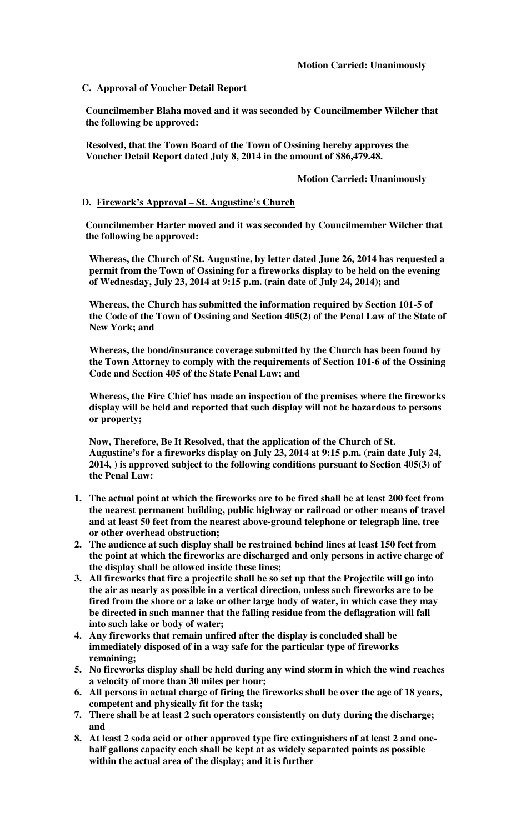## **C. Approval of Voucher Detail Report**

**Councilmember Blaha moved and it was seconded by Councilmember Wilcher that the following be approved:** 

**Resolved, that the Town Board of the Town of Ossining hereby approves the Voucher Detail Report dated July 8, 2014 in the amount of \$86,479.48.** 

## **Motion Carried: Unanimously**

## **D. Firework's Approval – St. Augustine's Church**

**Councilmember Harter moved and it was seconded by Councilmember Wilcher that the following be approved:** 

**Whereas, the Church of St. Augustine, by letter dated June 26, 2014 has requested a permit from the Town of Ossining for a fireworks display to be held on the evening of Wednesday, July 23, 2014 at 9:15 p.m. (rain date of July 24, 2014); and** 

**Whereas, the Church has submitted the information required by Section 101-5 of the Code of the Town of Ossining and Section 405(2) of the Penal Law of the State of New York; and** 

**Whereas, the bond/insurance coverage submitted by the Church has been found by the Town Attorney to comply with the requirements of Section 101-6 of the Ossining Code and Section 405 of the State Penal Law; and** 

**Whereas, the Fire Chief has made an inspection of the premises where the fireworks display will be held and reported that such display will not be hazardous to persons or property;** 

**Now, Therefore, Be It Resolved, that the application of the Church of St. Augustine's for a fireworks display on July 23, 2014 at 9:15 p.m. (rain date July 24, 2014, ) is approved subject to the following conditions pursuant to Section 405(3) of the Penal Law:** 

- **1. The actual point at which the fireworks are to be fired shall be at least 200 feet from the nearest permanent building, public highway or railroad or other means of travel and at least 50 feet from the nearest above-ground telephone or telegraph line, tree or other overhead obstruction;**
- **2. The audience at such display shall be restrained behind lines at least 150 feet from the point at which the fireworks are discharged and only persons in active charge of the display shall be allowed inside these lines;**
- **3. All fireworks that fire a projectile shall be so set up that the Projectile will go into the air as nearly as possible in a vertical direction, unless such fireworks are to be fired from the shore or a lake or other large body of water, in which case they may be directed in such manner that the falling residue from the deflagration will fall into such lake or body of water;**
- **4. Any fireworks that remain unfired after the display is concluded shall be immediately disposed of in a way safe for the particular type of fireworks remaining;**
- **5. No fireworks display shall be held during any wind storm in which the wind reaches a velocity of more than 30 miles per hour;**
- **6. All persons in actual charge of firing the fireworks shall be over the age of 18 years, competent and physically fit for the task;**
- **7. There shall be at least 2 such operators consistently on duty during the discharge; and**
- **8. At least 2 soda acid or other approved type fire extinguishers of at least 2 and onehalf gallons capacity each shall be kept at as widely separated points as possible within the actual area of the display; and it is further**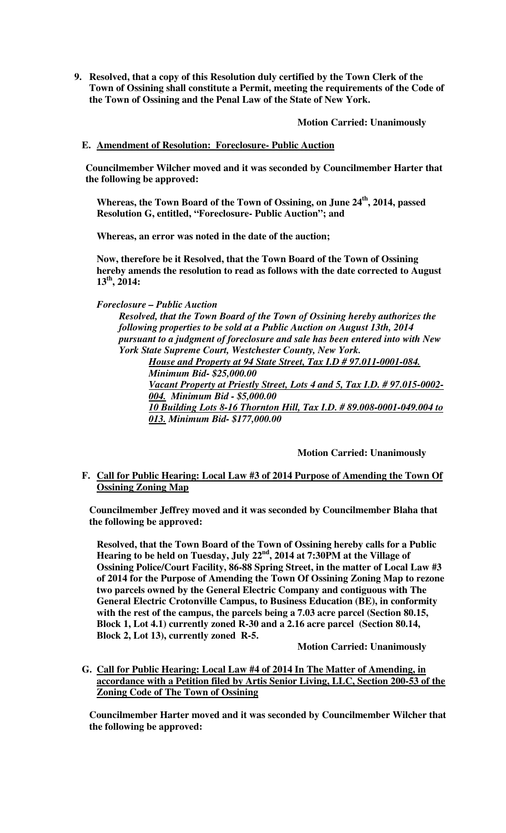**9. Resolved, that a copy of this Resolution duly certified by the Town Clerk of the Town of Ossining shall constitute a Permit, meeting the requirements of the Code of the Town of Ossining and the Penal Law of the State of New York.** 

**Motion Carried: Unanimously** 

**E. Amendment of Resolution: Foreclosure- Public Auction**

**Councilmember Wilcher moved and it was seconded by Councilmember Harter that the following be approved:** 

**Whereas, the Town Board of the Town of Ossining, on June 24th, 2014, passed Resolution G, entitled, "Foreclosure- Public Auction"; and** 

**Whereas, an error was noted in the date of the auction;** 

**Now, therefore be it Resolved, that the Town Board of the Town of Ossining hereby amends the resolution to read as follows with the date corrected to August 13th, 2014:** 

## *Foreclosure – Public Auction*

*Resolved, that the Town Board of the Town of Ossining hereby authorizes the following properties to be sold at a Public Auction on August 13th, 2014 pursuant to a judgment of foreclosure and sale has been entered into with New York State Supreme Court, Westchester County, New York.* 

*House and Property at 94 State Street, Tax I.D # 97.011-0001-084. Minimum Bid- \$25,000.00 Vacant Property at Priestly Street, Lots 4 and 5, Tax I.D. # 97.015-0002-*

*004. Minimum Bid - \$5,000.00 10 Building Lots 8-16 Thornton Hill, Tax I.D. # 89.008-0001-049.004 to 013. Minimum Bid- \$177,000.00*

## **Motion Carried: Unanimously**

## **F. Call for Public Hearing: Local Law #3 of 2014 Purpose of Amending the Town Of Ossining Zoning Map**

**Councilmember Jeffrey moved and it was seconded by Councilmember Blaha that the following be approved:** 

**Resolved, that the Town Board of the Town of Ossining hereby calls for a Public Hearing to be held on Tuesday, July 22nd, 2014 at 7:30PM at the Village of Ossining Police/Court Facility, 86-88 Spring Street, in the matter of Local Law #3 of 2014 for the Purpose of Amending the Town Of Ossining Zoning Map to rezone two parcels owned by the General Electric Company and contiguous with The General Electric Crotonville Campus, to Business Education (BE), in conformity with the rest of the campus, the parcels being a 7.03 acre parcel (Section 80.15, Block 1, Lot 4.1) currently zoned R-30 and a 2.16 acre parcel (Section 80.14, Block 2, Lot 13), currently zoned R-5.** 

#### **Motion Carried: Unanimously**

**G. Call for Public Hearing: Local Law #4 of 2014 In The Matter of Amending, in accordance with a Petition filed by Artis Senior Living, LLC, Section 200-53 of the Zoning Code of The Town of Ossining**

**Councilmember Harter moved and it was seconded by Councilmember Wilcher that the following be approved:**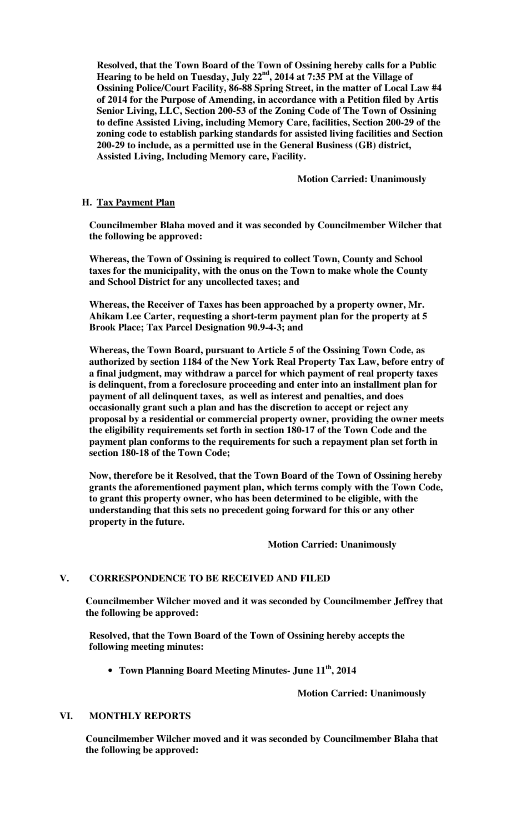**Resolved, that the Town Board of the Town of Ossining hereby calls for a Public Hearing to be held on Tuesday, July 22nd, 2014 at 7:35 PM at the Village of Ossining Police/Court Facility, 86-88 Spring Street, in the matter of Local Law #4 of 2014 for the Purpose of Amending, in accordance with a Petition filed by Artis Senior Living, LLC, Section 200-53 of the Zoning Code of The Town of Ossining to define Assisted Living, including Memory Care, facilities, Section 200-29 of the zoning code to establish parking standards for assisted living facilities and Section 200-29 to include, as a permitted use in the General Business (GB) district, Assisted Living, Including Memory care, Facility.** 

 **Motion Carried: Unanimously** 

## **H. Tax Payment Plan**

**Councilmember Blaha moved and it was seconded by Councilmember Wilcher that the following be approved:** 

**Whereas, the Town of Ossining is required to collect Town, County and School taxes for the municipality, with the onus on the Town to make whole the County and School District for any uncollected taxes; and** 

**Whereas, the Receiver of Taxes has been approached by a property owner, Mr. Ahikam Lee Carter, requesting a short-term payment plan for the property at 5 Brook Place; Tax Parcel Designation 90.9-4-3; and** 

**Whereas, the Town Board, pursuant to Article 5 of the Ossining Town Code, as authorized by section 1184 of the New York Real Property Tax Law, before entry of a final judgment, may withdraw a parcel for which payment of real property taxes is delinquent, from a foreclosure proceeding and enter into an installment plan for payment of all delinquent taxes, as well as interest and penalties, and does occasionally grant such a plan and has the discretion to accept or reject any proposal by a residential or commercial property owner, providing the owner meets the eligibility requirements set forth in section 180-17 of the Town Code and the payment plan conforms to the requirements for such a repayment plan set forth in section 180-18 of the Town Code;** 

**Now, therefore be it Resolved, that the Town Board of the Town of Ossining hereby grants the aforementioned payment plan, which terms comply with the Town Code, to grant this property owner, who has been determined to be eligible, with the understanding that this sets no precedent going forward for this or any other property in the future.** 

 **Motion Carried: Unanimously** 

## **V. CORRESPONDENCE TO BE RECEIVED AND FILED**

**Councilmember Wilcher moved and it was seconded by Councilmember Jeffrey that the following be approved:** 

**Resolved, that the Town Board of the Town of Ossining hereby accepts the following meeting minutes:** 

• **Town Planning Board Meeting Minutes- June 11th, 2014** 

 **Motion Carried: Unanimously** 

#### **VI. MONTHLY REPORTS**

**Councilmember Wilcher moved and it was seconded by Councilmember Blaha that the following be approved:**